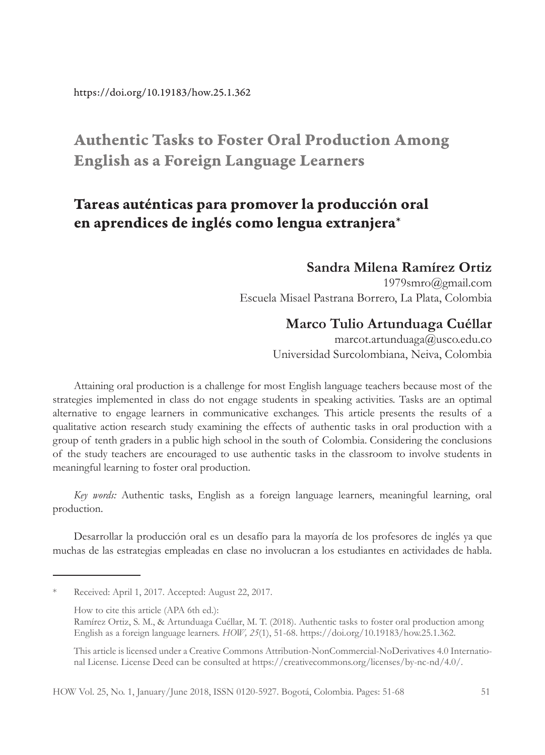# Authentic Tasks to Foster Oral Production Among English as a Foreign Language Learners

# Tareas auténticas para promover la producción oral en aprendices de inglés como lengua extranjera\*

#### **Sandra Milena Ramírez Ortiz**

1979smro@gmail.com Escuela Misael Pastrana Borrero, La Plata, Colombia

#### **Marco Tulio Artunduaga Cuéllar**

marcot.artunduaga@usco.edu.co Universidad Surcolombiana, Neiva, Colombia

Attaining oral production is a challenge for most English language teachers because most of the strategies implemented in class do not engage students in speaking activities. Tasks are an optimal alternative to engage learners in communicative exchanges. This article presents the results of a qualitative action research study examining the effects of authentic tasks in oral production with a group of tenth graders in a public high school in the south of Colombia. Considering the conclusions of the study teachers are encouraged to use authentic tasks in the classroom to involve students in meaningful learning to foster oral production.

*Key words:* Authentic tasks, English as a foreign language learners, meaningful learning, oral production.

Desarrollar la producción oral es un desafío para la mayoría de los profesores de inglés ya que muchas de las estrategias empleadas en clase no involucran a los estudiantes en actividades de habla.

Received: April 1, 2017. Accepted: August 22, 2017.

How to cite this article (APA 6th ed.):

Ramírez Ortiz, S. M., & Artunduaga Cuéllar, M. T. (2018). Authentic tasks to foster oral production among English as a foreign language learners. *HOW, 25*(1), 51-68. https://doi.org/10.19183/how.25.1.362.

This article is licensed under a Creative Commons Attribution-NonCommercial-NoDerivatives 4.0 International License. License Deed can be consulted at https://creativecommons.org/licenses/by-nc-nd/4.0/.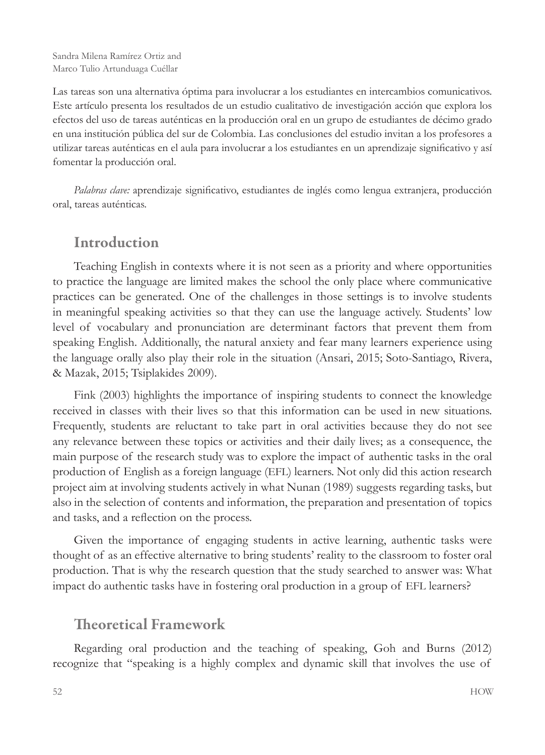Las tareas son una alternativa óptima para involucrar a los estudiantes en intercambios comunicativos. Este artículo presenta los resultados de un estudio cualitativo de investigación acción que explora los efectos del uso de tareas auténticas en la producción oral en un grupo de estudiantes de décimo grado en una institución pública del sur de Colombia. Las conclusiones del estudio invitan a los profesores a utilizar tareas auténticas en el aula para involucrar a los estudiantes en un aprendizaje significativo y así fomentar la producción oral.

*Palabras clave:* aprendizaje significativo, estudiantes de inglés como lengua extranjera, producción oral, tareas auténticas.

## Introduction

Teaching English in contexts where it is not seen as a priority and where opportunities to practice the language are limited makes the school the only place where communicative practices can be generated. One of the challenges in those settings is to involve students in meaningful speaking activities so that they can use the language actively. Students' low level of vocabulary and pronunciation are determinant factors that prevent them from speaking English. Additionally, the natural anxiety and fear many learners experience using the language orally also play their role in the situation (Ansari, 2015; Soto-Santiago, Rivera, & Mazak, 2015; Tsiplakides 2009).

Fink (2003) highlights the importance of inspiring students to connect the knowledge received in classes with their lives so that this information can be used in new situations. Frequently, students are reluctant to take part in oral activities because they do not see any relevance between these topics or activities and their daily lives; as a consequence, the main purpose of the research study was to explore the impact of authentic tasks in the oral production of English as a foreign language (EFL) learners. Not only did this action research project aim at involving students actively in what Nunan (1989) suggests regarding tasks, but also in the selection of contents and information, the preparation and presentation of topics and tasks, and a reflection on the process.

Given the importance of engaging students in active learning, authentic tasks were thought of as an effective alternative to bring students' reality to the classroom to foster oral production. That is why the research question that the study searched to answer was: What impact do authentic tasks have in fostering oral production in a group of EFL learners?

## Theoretical Framework

Regarding oral production and the teaching of speaking, Goh and Burns (2012) recognize that "speaking is a highly complex and dynamic skill that involves the use of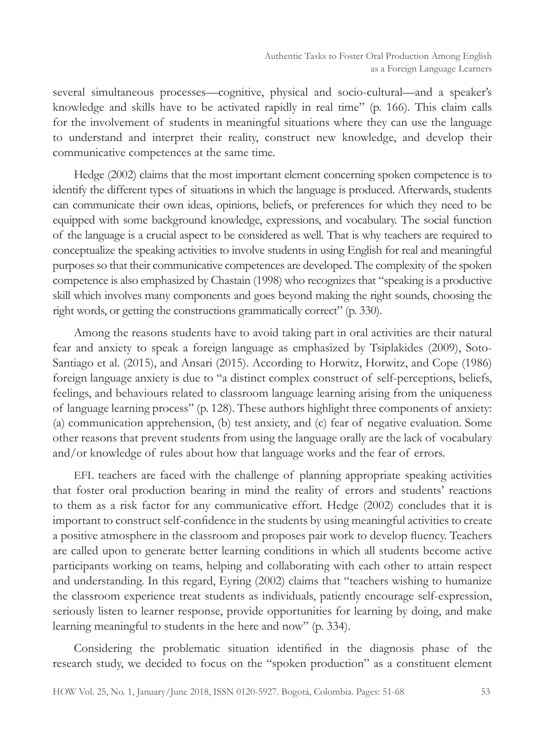several simultaneous processes—cognitive, physical and socio-cultural—and a speaker's knowledge and skills have to be activated rapidly in real time" (p. 166). This claim calls for the involvement of students in meaningful situations where they can use the language to understand and interpret their reality, construct new knowledge, and develop their communicative competences at the same time.

Hedge (2002) claims that the most important element concerning spoken competence is to identify the different types of situations in which the language is produced. Afterwards, students can communicate their own ideas, opinions, beliefs, or preferences for which they need to be equipped with some background knowledge, expressions, and vocabulary. The social function of the language is a crucial aspect to be considered as well. That is why teachers are required to conceptualize the speaking activities to involve students in using English for real and meaningful purposes so that their communicative competences are developed. The complexity of the spoken competence is also emphasized by Chastain (1998) who recognizes that "speaking is a productive skill which involves many components and goes beyond making the right sounds, choosing the right words, or getting the constructions grammatically correct" (p. 330).

Among the reasons students have to avoid taking part in oral activities are their natural fear and anxiety to speak a foreign language as emphasized by Tsiplakides (2009), Soto-Santiago et al. (2015), and Ansari (2015). According to Horwitz, Horwitz, and Cope (1986) foreign language anxiety is due to "a distinct complex construct of self-perceptions, beliefs, feelings, and behaviours related to classroom language learning arising from the uniqueness of language learning process" (p. 128). These authors highlight three components of anxiety: (a) communication apprehension, (b) test anxiety, and (c) fear of negative evaluation. Some other reasons that prevent students from using the language orally are the lack of vocabulary and/or knowledge of rules about how that language works and the fear of errors.

EFL teachers are faced with the challenge of planning appropriate speaking activities that foster oral production bearing in mind the reality of errors and students' reactions to them as a risk factor for any communicative effort. Hedge (2002) concludes that it is important to construct self-confidence in the students by using meaningful activities to create a positive atmosphere in the classroom and proposes pair work to develop fluency. Teachers are called upon to generate better learning conditions in which all students become active participants working on teams, helping and collaborating with each other to attain respect and understanding. In this regard, Eyring (2002) claims that "teachers wishing to humanize the classroom experience treat students as individuals, patiently encourage self-expression, seriously listen to learner response, provide opportunities for learning by doing, and make learning meaningful to students in the here and now" (p. 334).

Considering the problematic situation identified in the diagnosis phase of the research study, we decided to focus on the "spoken production" as a constituent element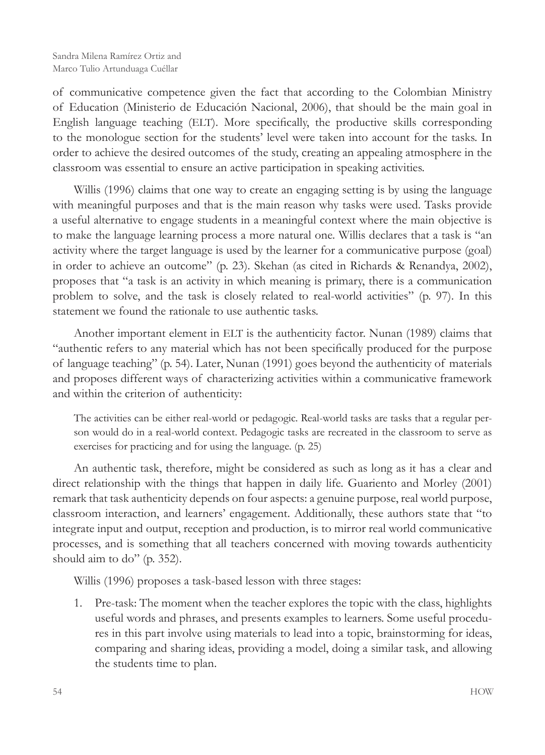of communicative competence given the fact that according to the Colombian Ministry of Education (Ministerio de Educación Nacional, 2006), that should be the main goal in English language teaching (ELT). More specifically, the productive skills corresponding to the monologue section for the students' level were taken into account for the tasks. In order to achieve the desired outcomes of the study, creating an appealing atmosphere in the classroom was essential to ensure an active participation in speaking activities.

Willis (1996) claims that one way to create an engaging setting is by using the language with meaningful purposes and that is the main reason why tasks were used. Tasks provide a useful alternative to engage students in a meaningful context where the main objective is to make the language learning process a more natural one. Willis declares that a task is "an activity where the target language is used by the learner for a communicative purpose (goal) in order to achieve an outcome" (p. 23). Skehan (as cited in Richards & Renandya, 2002), proposes that "a task is an activity in which meaning is primary, there is a communication problem to solve, and the task is closely related to real-world activities" (p. 97). In this statement we found the rationale to use authentic tasks.

Another important element in ELT is the authenticity factor. Nunan (1989) claims that "authentic refers to any material which has not been specifically produced for the purpose of language teaching" (p. 54). Later, Nunan (1991) goes beyond the authenticity of materials and proposes different ways of characterizing activities within a communicative framework and within the criterion of authenticity:

The activities can be either real-world or pedagogic. Real-world tasks are tasks that a regular person would do in a real-world context. Pedagogic tasks are recreated in the classroom to serve as exercises for practicing and for using the language. (p. 25)

An authentic task, therefore, might be considered as such as long as it has a clear and direct relationship with the things that happen in daily life. Guariento and Morley (2001) remark that task authenticity depends on four aspects: a genuine purpose, real world purpose, classroom interaction, and learners' engagement. Additionally, these authors state that "to integrate input and output, reception and production, is to mirror real world communicative processes, and is something that all teachers concerned with moving towards authenticity should aim to do" (p. 352).

Willis (1996) proposes a task-based lesson with three stages:

1. Pre-task: The moment when the teacher explores the topic with the class, highlights useful words and phrases, and presents examples to learners. Some useful procedures in this part involve using materials to lead into a topic, brainstorming for ideas, comparing and sharing ideas, providing a model, doing a similar task, and allowing the students time to plan.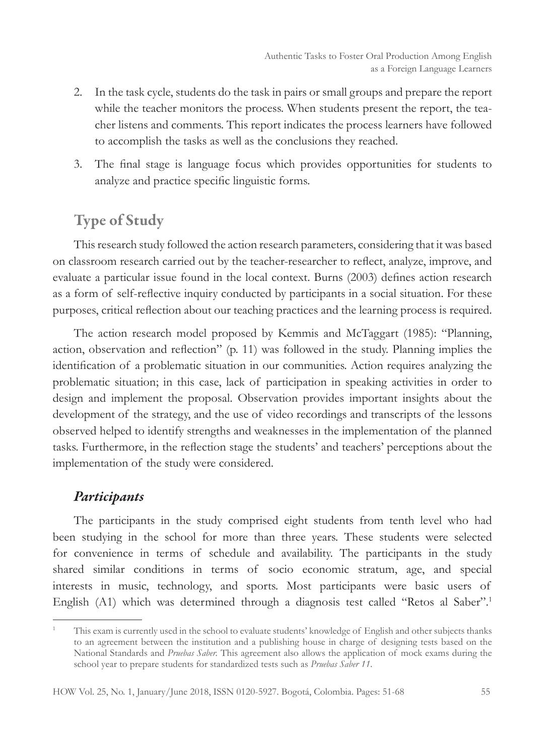- 2. In the task cycle, students do the task in pairs or small groups and prepare the report while the teacher monitors the process. When students present the report, the teacher listens and comments. This report indicates the process learners have followed to accomplish the tasks as well as the conclusions they reached.
- 3. The final stage is language focus which provides opportunities for students to analyze and practice specific linguistic forms.

# Type of Study

This research study followed the action research parameters, considering that it was based on classroom research carried out by the teacher-researcher to reflect, analyze, improve, and evaluate a particular issue found in the local context. Burns (2003) defines action research as a form of self-reflective inquiry conducted by participants in a social situation. For these purposes, critical reflection about our teaching practices and the learning process is required.

The action research model proposed by Kemmis and McTaggart (1985): "Planning, action, observation and reflection" (p. 11) was followed in the study. Planning implies the identification of a problematic situation in our communities. Action requires analyzing the problematic situation; in this case, lack of participation in speaking activities in order to design and implement the proposal. Observation provides important insights about the development of the strategy, and the use of video recordings and transcripts of the lessons observed helped to identify strengths and weaknesses in the implementation of the planned tasks. Furthermore, in the reflection stage the students' and teachers' perceptions about the implementation of the study were considered.

#### *Participants*

The participants in the study comprised eight students from tenth level who had been studying in the school for more than three years. These students were selected for convenience in terms of schedule and availability. The participants in the study shared similar conditions in terms of socio economic stratum, age, and special interests in music, technology, and sports. Most participants were basic users of English (A1) which was determined through a diagnosis test called "Retos al Saber".1

<sup>1</sup> This exam is currently used in the school to evaluate students' knowledge of English and other subjects thanks to an agreement between the institution and a publishing house in charge of designing tests based on the National Standards and *Pruebas Saber.* This agreement also allows the application of mock exams during the school year to prepare students for standardized tests such as *Pruebas Saber 11*.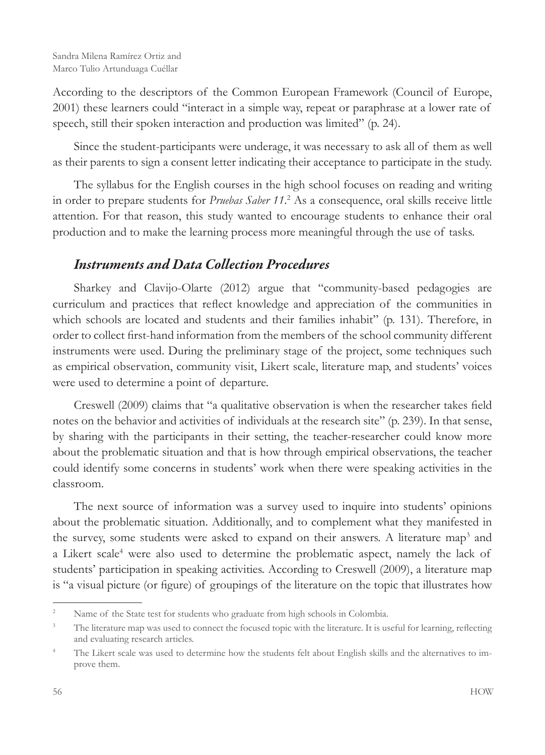According to the descriptors of the Common European Framework (Council of Europe, 2001) these learners could "interact in a simple way, repeat or paraphrase at a lower rate of speech, still their spoken interaction and production was limited" (p. 24).

Since the student-participants were underage, it was necessary to ask all of them as well as their parents to sign a consent letter indicating their acceptance to participate in the study.

The syllabus for the English courses in the high school focuses on reading and writing in order to prepare students for *Pruebas Saber 11*. 2 As a consequence, oral skills receive little attention. For that reason, this study wanted to encourage students to enhance their oral production and to make the learning process more meaningful through the use of tasks.

## *Instruments and Data Collection Procedures*

Sharkey and Clavijo-Olarte (2012) argue that "community-based pedagogies are curriculum and practices that reflect knowledge and appreciation of the communities in which schools are located and students and their families inhabit" (p. 131). Therefore, in order to collect first-hand information from the members of the school community different instruments were used. During the preliminary stage of the project, some techniques such as empirical observation, community visit, Likert scale, literature map, and students' voices were used to determine a point of departure.

Creswell (2009) claims that "a qualitative observation is when the researcher takes field notes on the behavior and activities of individuals at the research site" (p. 239). In that sense, by sharing with the participants in their setting, the teacher-researcher could know more about the problematic situation and that is how through empirical observations, the teacher could identify some concerns in students' work when there were speaking activities in the classroom.

The next source of information was a survey used to inquire into students' opinions about the problematic situation. Additionally, and to complement what they manifested in the survey, some students were asked to expand on their answers. A literature map<sup>3</sup> and a Likert scale<sup>4</sup> were also used to determine the problematic aspect, namely the lack of students' participation in speaking activities. According to Creswell (2009), a literature map is "a visual picture (or figure) of groupings of the literature on the topic that illustrates how

<sup>&</sup>lt;sup>2</sup> Name of the State test for students who graduate from high schools in Colombia.

<sup>&</sup>lt;sup>3</sup> The literature map was used to connect the focused topic with the literature. It is useful for learning, reflecting and evaluating research articles.

<sup>&</sup>lt;sup>4</sup> The Likert scale was used to determine how the students felt about English skills and the alternatives to improve them.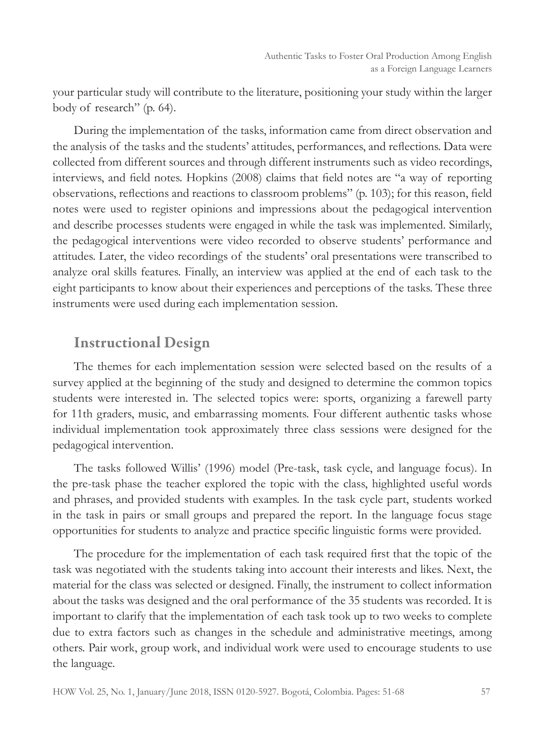your particular study will contribute to the literature, positioning your study within the larger body of research" (p. 64).

During the implementation of the tasks, information came from direct observation and the analysis of the tasks and the students' attitudes, performances, and reflections. Data were collected from different sources and through different instruments such as video recordings, interviews, and field notes. Hopkins (2008) claims that field notes are "a way of reporting observations, reflections and reactions to classroom problems" (p. 103); for this reason, field notes were used to register opinions and impressions about the pedagogical intervention and describe processes students were engaged in while the task was implemented. Similarly, the pedagogical interventions were video recorded to observe students' performance and attitudes. Later, the video recordings of the students' oral presentations were transcribed to analyze oral skills features. Finally, an interview was applied at the end of each task to the eight participants to know about their experiences and perceptions of the tasks. These three instruments were used during each implementation session.

## Instructional Design

The themes for each implementation session were selected based on the results of a survey applied at the beginning of the study and designed to determine the common topics students were interested in. The selected topics were: sports, organizing a farewell party for 11th graders, music, and embarrassing moments. Four different authentic tasks whose individual implementation took approximately three class sessions were designed for the pedagogical intervention.

The tasks followed Willis' (1996) model (Pre-task, task cycle, and language focus). In the pre-task phase the teacher explored the topic with the class, highlighted useful words and phrases, and provided students with examples. In the task cycle part, students worked in the task in pairs or small groups and prepared the report. In the language focus stage opportunities for students to analyze and practice specific linguistic forms were provided.

The procedure for the implementation of each task required first that the topic of the task was negotiated with the students taking into account their interests and likes. Next, the material for the class was selected or designed. Finally, the instrument to collect information about the tasks was designed and the oral performance of the 35 students was recorded. It is important to clarify that the implementation of each task took up to two weeks to complete due to extra factors such as changes in the schedule and administrative meetings, among others. Pair work, group work, and individual work were used to encourage students to use the language.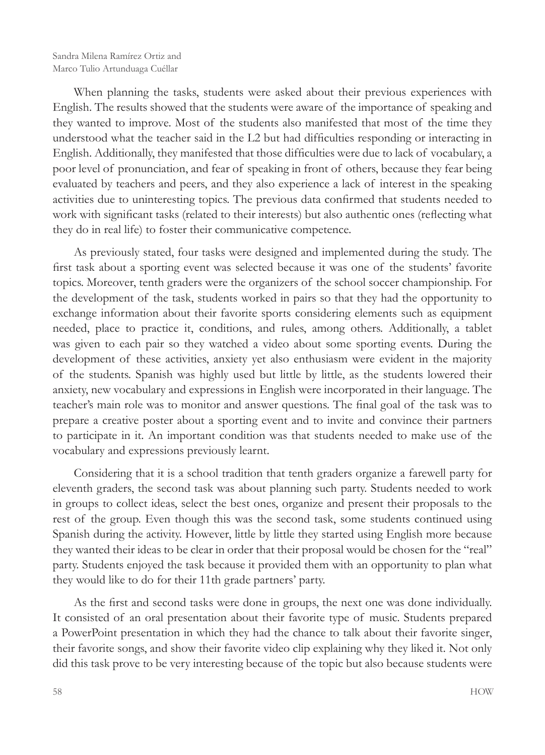When planning the tasks, students were asked about their previous experiences with English. The results showed that the students were aware of the importance of speaking and they wanted to improve. Most of the students also manifested that most of the time they understood what the teacher said in the L2 but had difficulties responding or interacting in English. Additionally, they manifested that those difficulties were due to lack of vocabulary, a poor level of pronunciation, and fear of speaking in front of others, because they fear being evaluated by teachers and peers, and they also experience a lack of interest in the speaking activities due to uninteresting topics. The previous data confirmed that students needed to work with significant tasks (related to their interests) but also authentic ones (reflecting what they do in real life) to foster their communicative competence.

As previously stated, four tasks were designed and implemented during the study. The first task about a sporting event was selected because it was one of the students' favorite topics. Moreover, tenth graders were the organizers of the school soccer championship. For the development of the task, students worked in pairs so that they had the opportunity to exchange information about their favorite sports considering elements such as equipment needed, place to practice it, conditions, and rules, among others. Additionally, a tablet was given to each pair so they watched a video about some sporting events. During the development of these activities, anxiety yet also enthusiasm were evident in the majority of the students. Spanish was highly used but little by little, as the students lowered their anxiety, new vocabulary and expressions in English were incorporated in their language. The teacher's main role was to monitor and answer questions. The final goal of the task was to prepare a creative poster about a sporting event and to invite and convince their partners to participate in it. An important condition was that students needed to make use of the vocabulary and expressions previously learnt.

Considering that it is a school tradition that tenth graders organize a farewell party for eleventh graders, the second task was about planning such party. Students needed to work in groups to collect ideas, select the best ones, organize and present their proposals to the rest of the group. Even though this was the second task, some students continued using Spanish during the activity. However, little by little they started using English more because they wanted their ideas to be clear in order that their proposal would be chosen for the "real" party. Students enjoyed the task because it provided them with an opportunity to plan what they would like to do for their 11th grade partners' party.

As the first and second tasks were done in groups, the next one was done individually. It consisted of an oral presentation about their favorite type of music. Students prepared a PowerPoint presentation in which they had the chance to talk about their favorite singer, their favorite songs, and show their favorite video clip explaining why they liked it. Not only did this task prove to be very interesting because of the topic but also because students were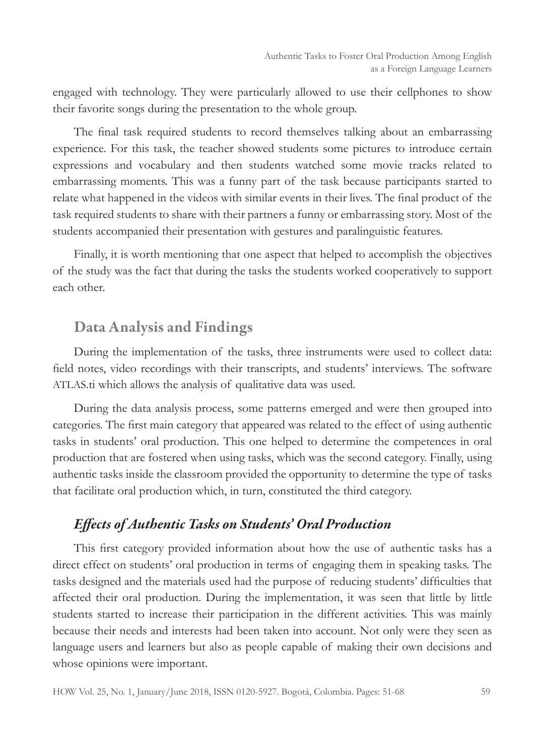engaged with technology. They were particularly allowed to use their cellphones to show their favorite songs during the presentation to the whole group.

The final task required students to record themselves talking about an embarrassing experience. For this task, the teacher showed students some pictures to introduce certain expressions and vocabulary and then students watched some movie tracks related to embarrassing moments. This was a funny part of the task because participants started to relate what happened in the videos with similar events in their lives. The final product of the task required students to share with their partners a funny or embarrassing story. Most of the students accompanied their presentation with gestures and paralinguistic features.

Finally, it is worth mentioning that one aspect that helped to accomplish the objectives of the study was the fact that during the tasks the students worked cooperatively to support each other.

## Data Analysis and Findings

During the implementation of the tasks, three instruments were used to collect data: field notes, video recordings with their transcripts, and students' interviews. The software ATLAS.ti which allows the analysis of qualitative data was used.

During the data analysis process, some patterns emerged and were then grouped into categories. The first main category that appeared was related to the effect of using authentic tasks in students' oral production. This one helped to determine the competences in oral production that are fostered when using tasks, which was the second category. Finally, using authentic tasks inside the classroom provided the opportunity to determine the type of tasks that facilitate oral production which, in turn, constituted the third category.

#### *Effects of Authentic Tasks on Students' Oral Production*

This first category provided information about how the use of authentic tasks has a direct effect on students' oral production in terms of engaging them in speaking tasks. The tasks designed and the materials used had the purpose of reducing students' difficulties that affected their oral production. During the implementation, it was seen that little by little students started to increase their participation in the different activities. This was mainly because their needs and interests had been taken into account. Not only were they seen as language users and learners but also as people capable of making their own decisions and whose opinions were important.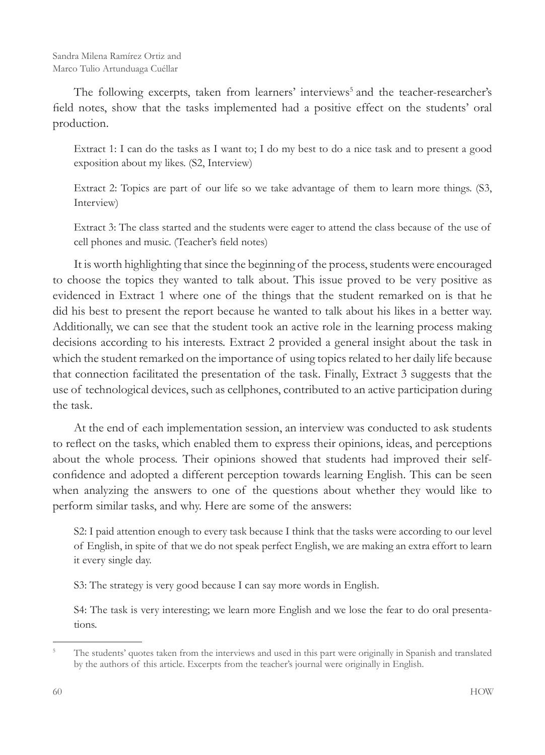The following excerpts, taken from learners' interviews<sup>5</sup> and the teacher-researcher's field notes, show that the tasks implemented had a positive effect on the students' oral production.

Extract 1: I can do the tasks as I want to; I do my best to do a nice task and to present a good exposition about my likes. (S2, Interview)

Extract 2: Topics are part of our life so we take advantage of them to learn more things. (S3, Interview)

Extract 3: The class started and the students were eager to attend the class because of the use of cell phones and music. (Teacher's field notes)

It is worth highlighting that since the beginning of the process, students were encouraged to choose the topics they wanted to talk about. This issue proved to be very positive as evidenced in Extract 1 where one of the things that the student remarked on is that he did his best to present the report because he wanted to talk about his likes in a better way. Additionally, we can see that the student took an active role in the learning process making decisions according to his interests. Extract 2 provided a general insight about the task in which the student remarked on the importance of using topics related to her daily life because that connection facilitated the presentation of the task. Finally, Extract 3 suggests that the use of technological devices, such as cellphones, contributed to an active participation during the task.

At the end of each implementation session, an interview was conducted to ask students to reflect on the tasks, which enabled them to express their opinions, ideas, and perceptions about the whole process. Their opinions showed that students had improved their selfconfidence and adopted a different perception towards learning English. This can be seen when analyzing the answers to one of the questions about whether they would like to perform similar tasks, and why. Here are some of the answers:

S2: I paid attention enough to every task because I think that the tasks were according to our level of English, in spite of that we do not speak perfect English, we are making an extra effort to learn it every single day.

S3: The strategy is very good because I can say more words in English.

S4: The task is very interesting; we learn more English and we lose the fear to do oral presentations.

<sup>&</sup>lt;sup>5</sup> The students' quotes taken from the interviews and used in this part were originally in Spanish and translated by the authors of this article. Excerpts from the teacher's journal were originally in English.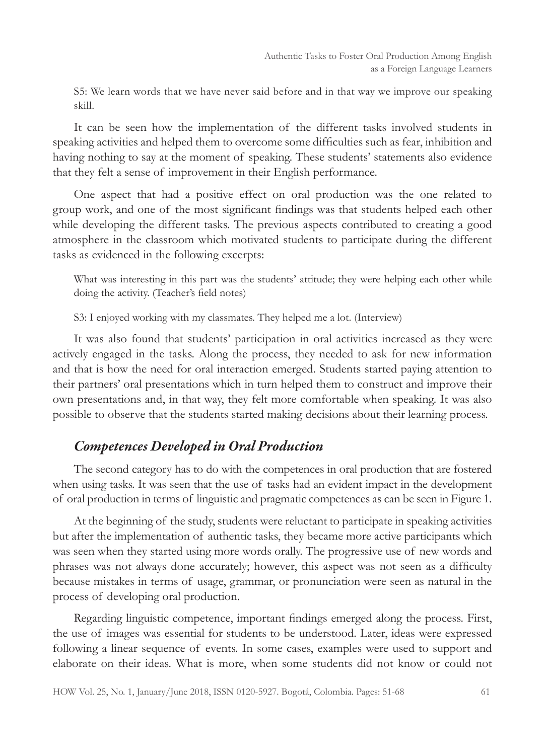S5: We learn words that we have never said before and in that way we improve our speaking skill.

It can be seen how the implementation of the different tasks involved students in speaking activities and helped them to overcome some difficulties such as fear, inhibition and having nothing to say at the moment of speaking. These students' statements also evidence that they felt a sense of improvement in their English performance.

One aspect that had a positive effect on oral production was the one related to group work, and one of the most significant findings was that students helped each other while developing the different tasks. The previous aspects contributed to creating a good atmosphere in the classroom which motivated students to participate during the different tasks as evidenced in the following excerpts:

What was interesting in this part was the students' attitude; they were helping each other while doing the activity. (Teacher's field notes)

S3: I enjoyed working with my classmates. They helped me a lot. (Interview)

It was also found that students' participation in oral activities increased as they were actively engaged in the tasks. Along the process, they needed to ask for new information and that is how the need for oral interaction emerged. Students started paying attention to their partners' oral presentations which in turn helped them to construct and improve their own presentations and, in that way, they felt more comfortable when speaking. It was also possible to observe that the students started making decisions about their learning process.

## *Competences Developed in Oral Production*

The second category has to do with the competences in oral production that are fostered when using tasks. It was seen that the use of tasks had an evident impact in the development of oral production in terms of linguistic and pragmatic competences as can be seen in Figure 1.

At the beginning of the study, students were reluctant to participate in speaking activities but after the implementation of authentic tasks, they became more active participants which was seen when they started using more words orally. The progressive use of new words and phrases was not always done accurately; however, this aspect was not seen as a difficulty because mistakes in terms of usage, grammar, or pronunciation were seen as natural in the process of developing oral production.

Regarding linguistic competence, important findings emerged along the process. First, the use of images was essential for students to be understood. Later, ideas were expressed following a linear sequence of events. In some cases, examples were used to support and elaborate on their ideas. What is more, when some students did not know or could not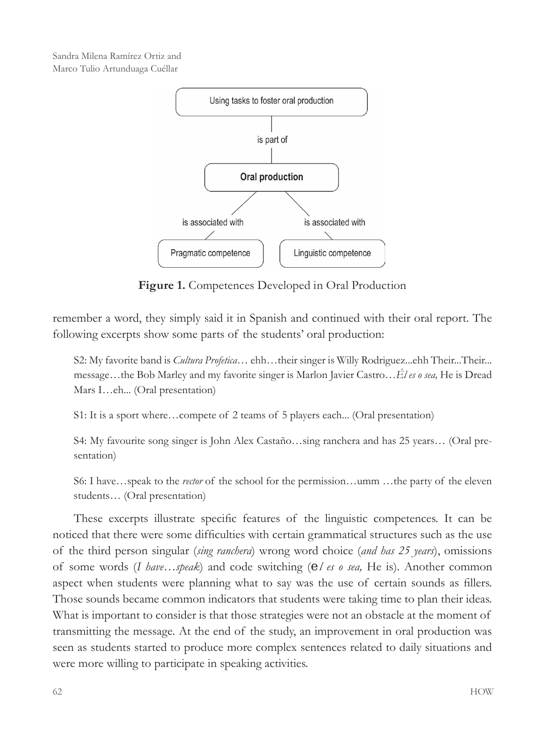Sandra Milena Ramírez Ortiz and Marco Tulio Artunduaga Cuéllar



**Figure 1.** Competences Developed in Oral Production

remember a word, they simply said it in Spanish and continued with their oral report. The following excerpts show some parts of the students' oral production:

S2: My favorite band is *Cultura Profetica*... ehh...their singer is Willy Rodriguez...ehh Their...Their... message…the Bob Marley and my favorite singer is Marlon Javier Castro…*Él es o sea,* He is Dread Mars I…eh... (Oral presentation)

S1: It is a sport where…compete of 2 teams of 5 players each... (Oral presentation)

S4: My favourite song singer is John Alex Castaño…sing ranchera and has 25 years… (Oral presentation)

S6: I have…speak to the *rector* of the school for the permission…umm …the party of the eleven students… (Oral presentation)

These excerpts illustrate specific features of the linguistic competences. It can be noticed that there were some difficulties with certain grammatical structures such as the use of the third person singular (*sing ranchera*) wrong word choice (*and has 25 years*), omissions of some words (*I have…speak*) and code switching (*el es o sea,* He is). Another common aspect when students were planning what to say was the use of certain sounds as fillers. Those sounds became common indicators that students were taking time to plan their ideas. What is important to consider is that those strategies were not an obstacle at the moment of transmitting the message. At the end of the study, an improvement in oral production was seen as students started to produce more complex sentences related to daily situations and were more willing to participate in speaking activities.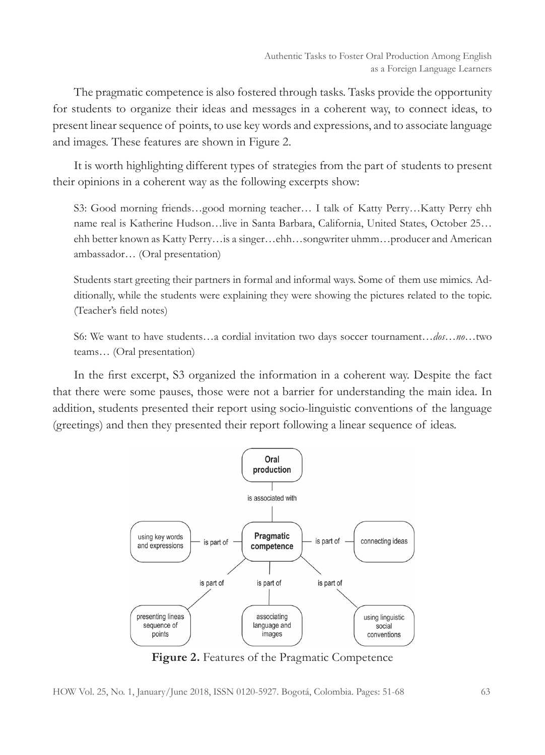The pragmatic competence is also fostered through tasks. Tasks provide the opportunity for students to organize their ideas and messages in a coherent way, to connect ideas, to present linear sequence of points, to use key words and expressions, and to associate language and images. These features are shown in Figure 2.

It is worth highlighting different types of strategies from the part of students to present their opinions in a coherent way as the following excerpts show:

S3: Good morning friends…good morning teacher… I talk of Katty Perry…Katty Perry ehh name real is Katherine Hudson…live in Santa Barbara, California, United States, October 25… ehh better known as Katty Perry…is a singer…ehh…songwriter uhmm…producer and American ambassador… (Oral presentation)

Students start greeting their partners in formal and informal ways. Some of them use mimics. Additionally, while the students were explaining they were showing the pictures related to the topic. (Teacher's field notes)

S6: We want to have students…a cordial invitation two days soccer tournament…*dos*…*no*…two teams… (Oral presentation)

In the first excerpt, S3 organized the information in a coherent way. Despite the fact that there were some pauses, those were not a barrier for understanding the main idea. In addition, students presented their report using socio-linguistic conventions of the language (greetings) and then they presented their report following a linear sequence of ideas.



**Figure 2.** Features of the Pragmatic Competence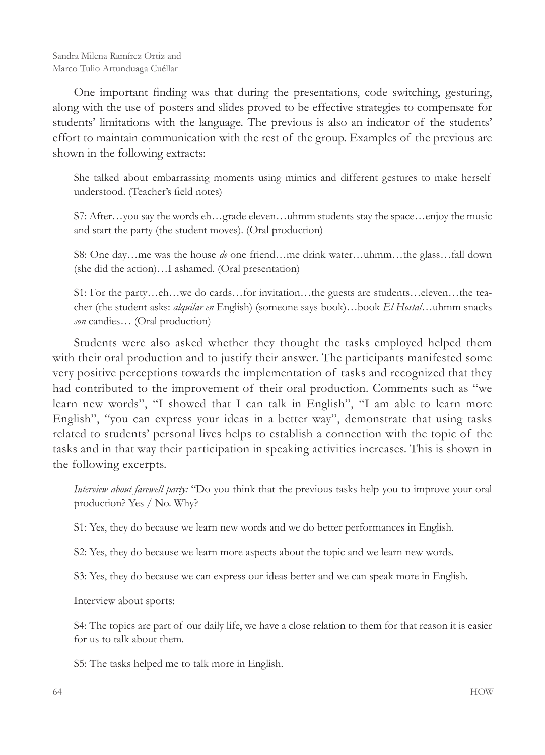One important finding was that during the presentations, code switching, gesturing, along with the use of posters and slides proved to be effective strategies to compensate for students' limitations with the language. The previous is also an indicator of the students' effort to maintain communication with the rest of the group. Examples of the previous are shown in the following extracts:

She talked about embarrassing moments using mimics and different gestures to make herself understood. (Teacher's field notes)

S7: After…you say the words eh…grade eleven…uhmm students stay the space…enjoy the music and start the party (the student moves). (Oral production)

S8: One day…me was the house *de* one friend…me drink water…uhmm…the glass…fall down (she did the action)…I ashamed. (Oral presentation)

S1: For the party…eh…we do cards…for invitation…the guests are students…eleven…the teacher (the student asks: *alquilar en* English) (someone says book)…book *El Hostal*…uhmm snacks *son* candies… (Oral production)

Students were also asked whether they thought the tasks employed helped them with their oral production and to justify their answer. The participants manifested some very positive perceptions towards the implementation of tasks and recognized that they had contributed to the improvement of their oral production. Comments such as "we learn new words", "I showed that I can talk in English", "I am able to learn more English", "you can express your ideas in a better way", demonstrate that using tasks related to students' personal lives helps to establish a connection with the topic of the tasks and in that way their participation in speaking activities increases. This is shown in the following excerpts.

*Interview about farewell party:* "Do you think that the previous tasks help you to improve your oral production? Yes / No. Why?

S1: Yes, they do because we learn new words and we do better performances in English.

S2: Yes, they do because we learn more aspects about the topic and we learn new words.

S3: Yes, they do because we can express our ideas better and we can speak more in English.

Interview about sports:

S4: The topics are part of our daily life, we have a close relation to them for that reason it is easier for us to talk about them.

S5: The tasks helped me to talk more in English.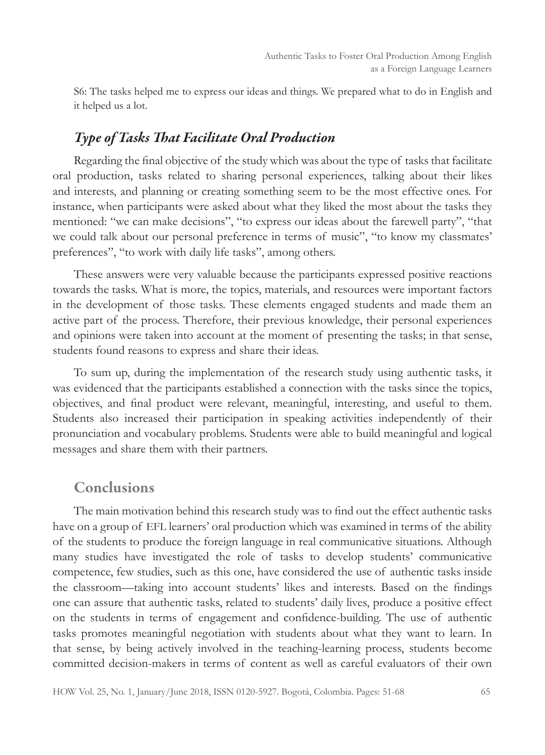S6: The tasks helped me to express our ideas and things. We prepared what to do in English and it helped us a lot.

## *Type of Tasks That Facilitate Oral Production*

Regarding the final objective of the study which was about the type of tasks that facilitate oral production, tasks related to sharing personal experiences, talking about their likes and interests, and planning or creating something seem to be the most effective ones. For instance, when participants were asked about what they liked the most about the tasks they mentioned: "we can make decisions", "to express our ideas about the farewell party", "that we could talk about our personal preference in terms of music", "to know my classmates' preferences", "to work with daily life tasks", among others.

These answers were very valuable because the participants expressed positive reactions towards the tasks. What is more, the topics, materials, and resources were important factors in the development of those tasks. These elements engaged students and made them an active part of the process. Therefore, their previous knowledge, their personal experiences and opinions were taken into account at the moment of presenting the tasks; in that sense, students found reasons to express and share their ideas.

To sum up, during the implementation of the research study using authentic tasks, it was evidenced that the participants established a connection with the tasks since the topics, objectives, and final product were relevant, meaningful, interesting, and useful to them. Students also increased their participation in speaking activities independently of their pronunciation and vocabulary problems. Students were able to build meaningful and logical messages and share them with their partners.

## Conclusions

The main motivation behind this research study was to find out the effect authentic tasks have on a group of EFL learners' oral production which was examined in terms of the ability of the students to produce the foreign language in real communicative situations. Although many studies have investigated the role of tasks to develop students' communicative competence, few studies, such as this one, have considered the use of authentic tasks inside the classroom—taking into account students' likes and interests. Based on the findings one can assure that authentic tasks, related to students' daily lives, produce a positive effect on the students in terms of engagement and confidence-building. The use of authentic tasks promotes meaningful negotiation with students about what they want to learn. In that sense, by being actively involved in the teaching-learning process, students become committed decision-makers in terms of content as well as careful evaluators of their own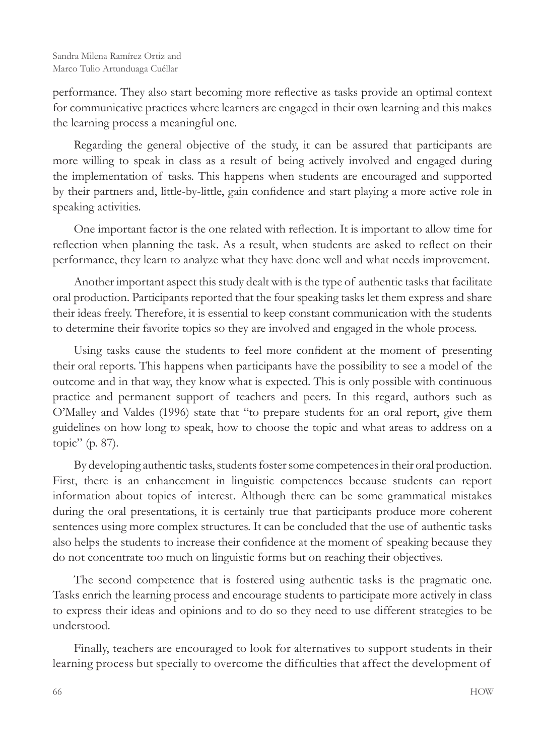performance. They also start becoming more reflective as tasks provide an optimal context for communicative practices where learners are engaged in their own learning and this makes the learning process a meaningful one.

Regarding the general objective of the study, it can be assured that participants are more willing to speak in class as a result of being actively involved and engaged during the implementation of tasks. This happens when students are encouraged and supported by their partners and, little-by-little, gain confidence and start playing a more active role in speaking activities.

One important factor is the one related with reflection. It is important to allow time for reflection when planning the task. As a result, when students are asked to reflect on their performance, they learn to analyze what they have done well and what needs improvement.

Another important aspect this study dealt with is the type of authentic tasks that facilitate oral production. Participants reported that the four speaking tasks let them express and share their ideas freely. Therefore, it is essential to keep constant communication with the students to determine their favorite topics so they are involved and engaged in the whole process.

Using tasks cause the students to feel more confident at the moment of presenting their oral reports. This happens when participants have the possibility to see a model of the outcome and in that way, they know what is expected. This is only possible with continuous practice and permanent support of teachers and peers. In this regard, authors such as O'Malley and Valdes (1996) state that "to prepare students for an oral report, give them guidelines on how long to speak, how to choose the topic and what areas to address on a topic" (p. 87).

By developing authentic tasks, students foster some competences in their oral production. First, there is an enhancement in linguistic competences because students can report information about topics of interest. Although there can be some grammatical mistakes during the oral presentations, it is certainly true that participants produce more coherent sentences using more complex structures. It can be concluded that the use of authentic tasks also helps the students to increase their confidence at the moment of speaking because they do not concentrate too much on linguistic forms but on reaching their objectives.

The second competence that is fostered using authentic tasks is the pragmatic one. Tasks enrich the learning process and encourage students to participate more actively in class to express their ideas and opinions and to do so they need to use different strategies to be understood.

Finally, teachers are encouraged to look for alternatives to support students in their learning process but specially to overcome the difficulties that affect the development of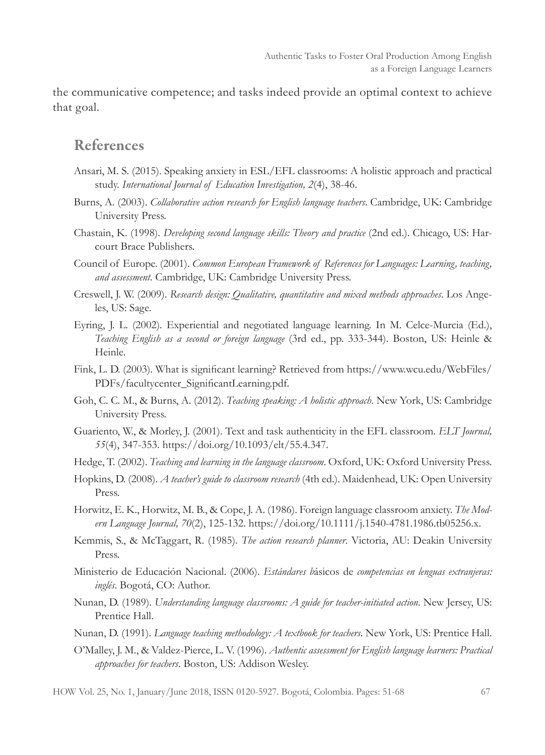the communicative competence; and tasks indeed provide an optimal context to achieve that goal.

#### References

- Ansari, M. S. (2015). Speaking anxiety in ESL/EFL classrooms: A holistic approach and practical study. *International Journal of Education Investigation, 2*(4), 38-46.
- Burns, A. (2003). *Collaborative action research for English language teachers*. Cambridge, UK: Cambridge University Press.
- Chastain, K. (1998). *Developing second language skills: Theory and practice* (2nd ed.). Chicago, US: Harcourt Brace Publishers.
- Council of Europe. (2001). *Common European Framework of References for Languages: Learning, teaching, and assessment*. Cambridge, UK: Cambridge University Press.
- Creswell, J. W. (2009). *Research design: Qualitative, quantitative and mixed methods approaches*. Los Angeles, US: Sage.
- Eyring, J. L. (2002). Experiential and negotiated language learning. In M. Celce-Murcia (Ed.), *Teaching English as a second or foreign language* (3rd ed., pp. 333-344). Boston, US: Heinle & Heinle.
- Fink, L. D. (2003). What is significant learning? Retrieved from https://www.wcu.edu/WebFiles/ PDFs/facultycenter\_SignificantLearning.pdf.
- Goh, C. C. M., & Burns, A. (2012). *Teaching speaking: A holistic approach*. New York, US: Cambridge University Press.
- Guariento, W., & Morley, J. (2001). Text and task authenticity in the EFL classroom. *ELT Journal, 55*(4), 347-353. https://doi.org/10.1093/elt/55.4.347.
- Hedge, T. (2002). *Teaching and learning in the language classroom*. Oxford, UK: Oxford University Press.
- Hopkins, D. (2008). *A teacher's guide to classroom research* (4th ed.). Maidenhead, UK: Open University Press.
- Horwitz, E. K., Horwitz, M. B., & Cope, J. A. (1986). Foreign language classroom anxiety. *The Modern Language Journal, 70*(2), 125-132. https://doi.org/10.1111/j.1540-4781.1986.tb05256.x.
- Kemmis, S., & McTaggart, R. (1985). *The action research planner*. Victoria, AU: Deakin University Press.
- Ministerio de Educación Nacional. (2006). *Estándares b*ásicos de *competencias en lenguas extranjeras: inglés*. Bogotá, CO: Author.
- Nunan, D. (1989). *Understanding language classrooms: A guide for teacher-initiated action*. New Jersey, US: Prentice Hall.
- Nunan, D. (1991). *Language teaching methodology: A textbook for teachers*. New York, US: Prentice Hall.
- O'Malley, J. M., & Valdez-Pierce, L. V. (1996). *Authentic assessment for English language learners: Practical approaches for teachers*. Boston, US: Addison Wesley.

HOW Vol. 25, No. 1, January/June 2018, ISSN 0120-5927. Bogotá, Colombia. Pages: 51-68 67